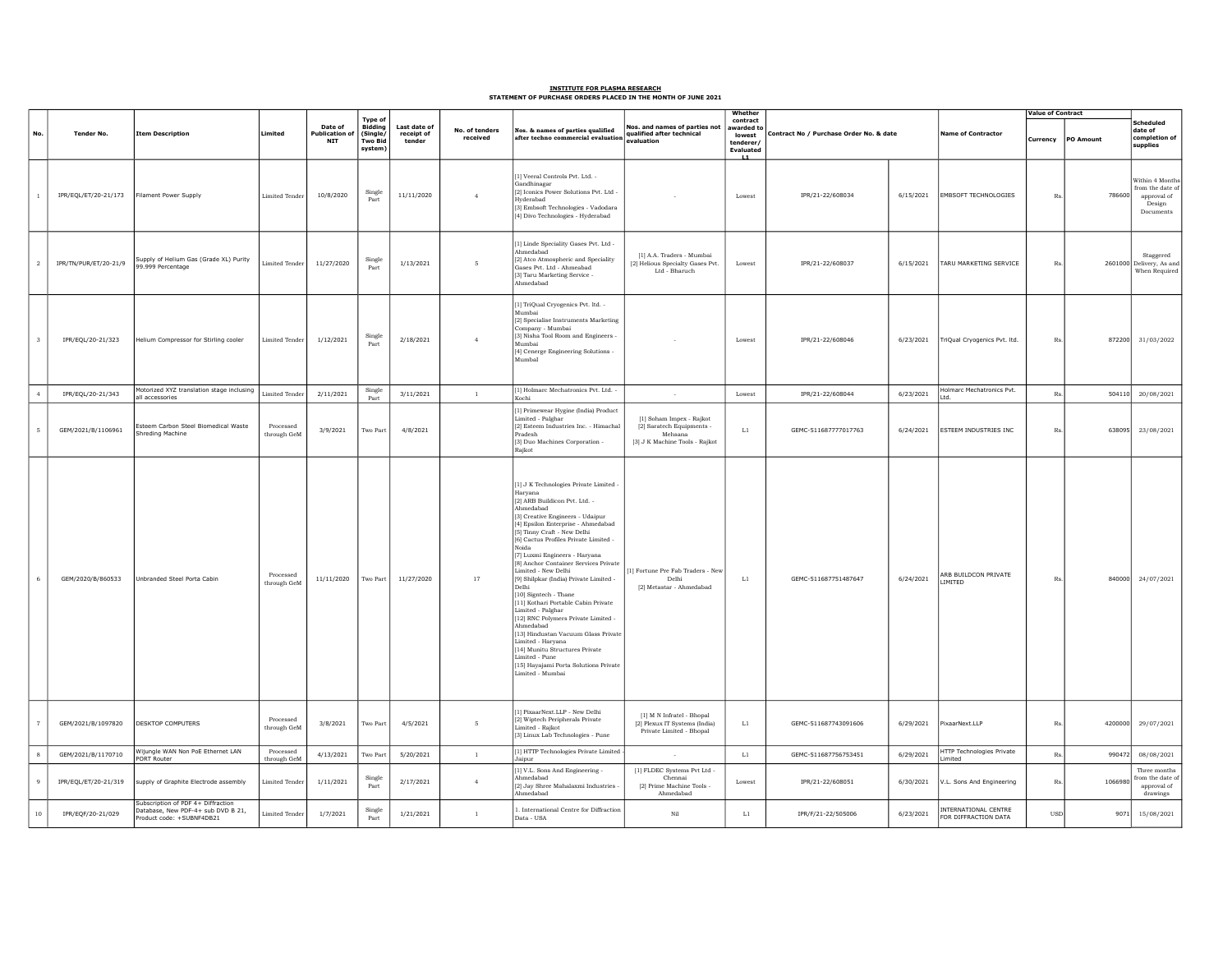## INSTITUTE FOR PLASMA RESEARCH STATEMENT OF PURCHASE ORDERS PLACED IN THE MONTH OF JUNE 2021

|                 |                       |                                                                                                       |                          |                                 |                                                                    |                                      |                            |                                                                                                                                                                                                                                                                                                                                                                                                                                                                                                                                                                                                                                                                                                                                                          |                                                                                                      | Whether                                                                 | Contract No / Purchase Order No. & date |           |                                              | <b>Value of Contract</b> |           |                                                                         |
|-----------------|-----------------------|-------------------------------------------------------------------------------------------------------|--------------------------|---------------------------------|--------------------------------------------------------------------|--------------------------------------|----------------------------|----------------------------------------------------------------------------------------------------------------------------------------------------------------------------------------------------------------------------------------------------------------------------------------------------------------------------------------------------------------------------------------------------------------------------------------------------------------------------------------------------------------------------------------------------------------------------------------------------------------------------------------------------------------------------------------------------------------------------------------------------------|------------------------------------------------------------------------------------------------------|-------------------------------------------------------------------------|-----------------------------------------|-----------|----------------------------------------------|--------------------------|-----------|-------------------------------------------------------------------------|
| No.             | <b>Tender No.</b>     | <b>Item Description</b>                                                                               | Limited                  | Date of<br>Publication o<br>NIT | <b>Type of</b><br>Biddina<br>(Single,<br><b>Two Bid</b><br>system) | Last date of<br>receipt of<br>tender | No. of tenders<br>received | Nos. & names of parties qualified<br>after techno commercial evaluation                                                                                                                                                                                                                                                                                                                                                                                                                                                                                                                                                                                                                                                                                  | Nos. and names of parties not<br>qualified after technical<br>evaluation                             | contract<br>awarded to<br>lowest<br>tenderer.<br><b>Evaluated</b><br>L1 |                                         |           | <b>Name of Contractor</b>                    | Currency                 | PO Amount | Scheduled<br>date of<br>completion of<br>supplies                       |
|                 | IPR/EQL/ET/20-21/173  | Filament Power Supply                                                                                 | <b>Limited Tender</b>    | 10/8/2020                       | Single<br>Part                                                     | 11/11/2020                           | $\overline{4}$             | [1] Veeral Controls Pvt. Ltd. -<br>Gandhinagar<br>[2] Iconics Power Solutions Pvt. Ltd -<br>Hyderabad<br>3] Embsoft Technologies - Vadodara<br>[4] Divo Technologies - Hyderabad                                                                                                                                                                                                                                                                                                                                                                                                                                                                                                                                                                         |                                                                                                      | Lowest                                                                  | IPR/21-22/608034                        | 6/15/2021 | <b>EMBSOFT TECHNOLOGIES</b>                  | R <sub>s</sub>           | 786600    | Within 4 Months<br>rom the date o<br>approval of<br>Design<br>Documents |
| $\overline{2}$  | IPR/TN/PUR/ET/20-21/9 | Supply of Helium Gas (Grade XL) Purity<br>99.999 Percentage                                           | <b>Limited Tender</b>    | 11/27/2020                      | Single<br>Part                                                     | 1/13/2021                            | $\overline{5}$             | $\left[ 1\right]$ Linde Speciality Gases Pvt. Ltd $\cdot$<br>Ahmedabad<br>[2] Atco Atmospheric and Speciality<br>Gases Pvt. Ltd - Ahmeabad<br>[3] Taru Marketing Service -<br>Ahmedabad                                                                                                                                                                                                                                                                                                                                                                                                                                                                                                                                                                  | [1] A.A. Traders - Mumbai<br>[2] Helious Specialty Gases Pvt.<br>Ltd - Bharuch                       | Lowest                                                                  | IPR/21-22/608037                        | 6/15/2021 | TARU MARKETING SERVICE                       | R <sub>s</sub>           |           | Staggered<br>2601000 Delivery, As and<br>When Required                  |
|                 | IPR/EQL/20-21/323     | Helium Compressor for Stirling cooler                                                                 | <b>Limited Tender</b>    | 1/12/2021                       | Single<br>Part                                                     | 2/18/2021                            | $\overline{4}$             | 1] TriQual Cryogenics Pvt. ltd. -<br>Mumba<br>[2] Specialise Instruments Marketing<br>Company - Mumba<br>[3] Nisha Tool Room and Engineers -<br>Mumba<br>4] Cenerge Engineering Solutions -<br>Mumbal                                                                                                                                                                                                                                                                                                                                                                                                                                                                                                                                                    |                                                                                                      | Lowest                                                                  | IPR/21-22/608046                        | 6/23/2021 | TriQual Cryogenics Pvt. Itd.                 | R <sub>s</sub>           | 872200    | 31/03/2022                                                              |
|                 | IPR/EQL/20-21/343     | Motorized XYZ translation stage inclusing<br>all accessories                                          | <b>Limited Tende</b>     | 2/11/2021                       | Single<br>Part                                                     | 3/11/2021                            | $\mathbf{1}$               | 1] Holmarc Mechatronics Pvt. Ltd. -<br>Kochi                                                                                                                                                                                                                                                                                                                                                                                                                                                                                                                                                                                                                                                                                                             |                                                                                                      | Lowest                                                                  | IPR/21-22/608044                        | 6/23/2021 | Holmarc Mechatronics Pvt.<br>Ltd.            | $R_8$                    | 504110    | 20/08/2021                                                              |
|                 | GEM/2021/B/1106961    | Esteem Carbon Steel Biomedical Waste<br>Shreding Machine                                              | Processed<br>through GeM | 3/9/2021                        | Two Part                                                           | 4/8/2021                             |                            | 1] Primewear Hygine (India) Product<br>.imited - Palghar<br>2] Esteem Industries Inc. - Himachal<br>Pradesh<br>[3] Duo Machines Corporation -<br>Rajkot                                                                                                                                                                                                                                                                                                                                                                                                                                                                                                                                                                                                  | [1] Soham Impex - Rajkot<br>[2] Saratech Equipments -<br>Mehsana<br>$[3]$ J K Machine Tools - Rajkot | $1.1\,$                                                                 | GEMC-511687777017763                    | 6/24/2021 | ESTEEM INDUSTRIES INC                        | Rs                       | 638095    | 23/08/2021                                                              |
|                 | GEM/2020/B/860533     | Unbranded Steel Porta Cabin                                                                           | Processed<br>through GeM | 11/11/2020                      | Two Part                                                           | 11/27/2020                           | $17\,$                     | $\left[ 1\right]$ J K Technologies Private Limited $\cdot$<br>Harvana<br>[2] ARB Buildicon Pvt. Ltd. -<br>Ahmedabad<br>[3] Creative Engineers - Udaipur<br>[4] Epsilon Enterprise - Ahmedabad<br>[5] Tinny Craft - New Delhi<br>[6] Cactus Profiles Private Limited -<br>Voida<br>[7] Luxmi Engineers - Haryana<br>8] Anchor Container Services Private<br>imited - New Delhi<br>[9] Shilpkar (India) Private Limited -<br>Delhi<br>[10] Signtech - Thane<br>11] Kothari Portable Cabin Private<br>imited - Palghar<br>12] RNC Polymers Private Limited -<br><b>\hmedabad</b><br>13] Hindustan Vacuum Glass Private<br>Limited - Haryana<br>14] Munitu Structures Private<br>Limited - Pune<br>[15] Hayajami Porta Solutions Private<br>.imited - Mumbai | 1] Fortune Pre Fab Traders - New<br>Delhi<br>[2] Metastar - Ahmedabad                                | $\mathop{\mathrm{L}1}$                                                  | GEMC-511687751487647                    | 6/24/2021 | RB BUILDCON PRIVATE<br>LIMITED               | Rs                       | 840000    | 24/07/2021                                                              |
|                 | GEM/2021/B/1097820    | <b>DESKTOP COMPUTERS</b>                                                                              | Processed<br>through GeM | 3/8/2021                        | Two Part                                                           | 4/5/2021                             | 5                          | 1] PixaarNext.LLP - New Delhi<br>[2] Wiptech Peripherals Private<br>imited - Raikot<br>$\left[3\right]$ Linux Lab Technologies - Pune                                                                                                                                                                                                                                                                                                                                                                                                                                                                                                                                                                                                                    | [1] M N Infratel - Bhopal<br>[2] Plexux IT Systems (India)<br>Private Limited - Bhopal               | $1.1\,$                                                                 | GEMC-511687743091606                    | 6/29/2021 | PixaarNext.LLP                               | Rs                       | 4200000   | 29/07/2021                                                              |
|                 | GEM/2021/B/1170710    | Wijungle WAN Non PoE Ethernet LAN<br>PORT Router                                                      | Processed<br>through GeM | 4/13/2021                       | Two Par                                                            | 5/20/2021                            | $\mathbf{1}$               | 1] HTTP Technologies Private Limited<br>fainur                                                                                                                                                                                                                                                                                                                                                                                                                                                                                                                                                                                                                                                                                                           |                                                                                                      | $\mathop{\mathrm{L}1}$                                                  | GEMC-511687756753451                    | 6/29/2021 | HTTP Technologies Private<br>.imited         | Rs                       | 990472    | 08/08/2021                                                              |
|                 | IPR/EQL/ET/20-21/319  | supply of Graphite Electrode assembly                                                                 | Limited Tender           | 1/11/2021                       | Single<br>Part                                                     | 2/17/2021                            | $\overline{4}$             | 1] V.L. Sons And Engineering -<br>Ahmedabad<br>[2] Jay Shree Mahalaxmi Industries -<br>Ahmedabad                                                                                                                                                                                                                                                                                                                                                                                                                                                                                                                                                                                                                                                         | [1] FLDEC Systems Pvt Ltd -<br>Chennai<br>[2] Prime Machine Tools -<br>Ahmedabad                     | Lowest                                                                  | IPR/21-22/608051                        | 6/30/2021 | V.L. Sons And Engineering                    | Rs                       | 106698    | Three months<br>rom the date of<br>approval of<br>drawings              |
| 10 <sup>°</sup> | IPR/EQF/20-21/029     | Subscription of PDF 4+ Diffraction<br>Database, New PDF-4+ sub DVD B 21,<br>Product code: +SUBNF4DB21 | <b>Limited Tender</b>    | 1/7/2021                        | Single<br>Part                                                     | 1/21/2021                            | $\mathbf{1}$               | . International Centre for Diffraction<br>Data - USA                                                                                                                                                                                                                                                                                                                                                                                                                                                                                                                                                                                                                                                                                                     | $_{\rm Nil}$                                                                                         | $_{\rm L1}$                                                             | IPR/F/21-22/505006                      | 6/23/2021 | INTERNATIONAL CENTRE<br>FOR DIFFRACTION DATA | USD                      | 9071      | 15/08/2021                                                              |